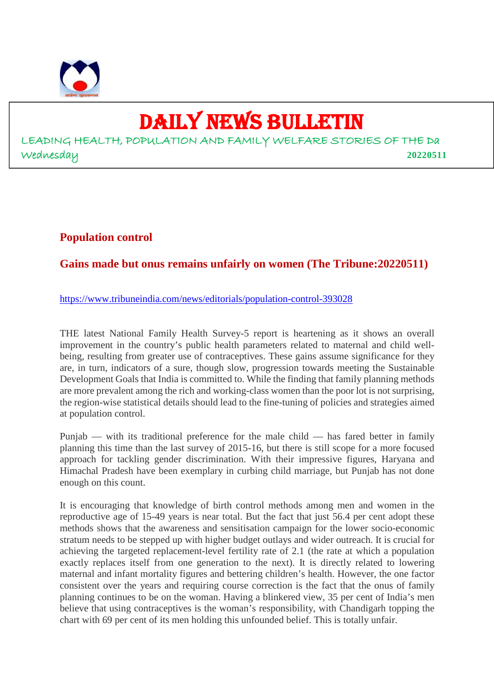

# DAILY NEWS BULLETIN

LEADING HEALTH, POPULATION AND FAMILY WELFARE STORIES OF THE Da Wednesday **20220511**

#### **Population control**

# **Gains made but onus remains unfairly on women (The Tribune:20220511)**

https://www.tribuneindia.com/news/editorials/population-control-393028

THE latest National Family Health Survey-5 report is heartening as it shows an overall improvement in the country's public health parameters related to maternal and child wellbeing, resulting from greater use of contraceptives. These gains assume significance for they are, in turn, indicators of a sure, though slow, progression towards meeting the Sustainable Development Goals that India is committed to. While the finding that family planning methods are more prevalent among the rich and working-class women than the poor lot is not surprising, the region-wise statistical details should lead to the fine-tuning of policies and strategies aimed at population control.

Punjab — with its traditional preference for the male child — has fared better in family planning this time than the last survey of 2015-16, but there is still scope for a more focused approach for tackling gender discrimination. With their impressive figures, Haryana and Himachal Pradesh have been exemplary in curbing child marriage, but Punjab has not done enough on this count.

It is encouraging that knowledge of birth control methods among men and women in the reproductive age of 15-49 years is near total. But the fact that just 56.4 per cent adopt these methods shows that the awareness and sensitisation campaign for the lower socio-economic stratum needs to be stepped up with higher budget outlays and wider outreach. It is crucial for achieving the targeted replacement-level fertility rate of 2.1 (the rate at which a population exactly replaces itself from one generation to the next). It is directly related to lowering maternal and infant mortality figures and bettering children's health. However, the one factor consistent over the years and requiring course correction is the fact that the onus of family planning continues to be on the woman. Having a blinkered view, 35 per cent of India's men believe that using contraceptives is the woman's responsibility, with Chandigarh topping the chart with 69 per cent of its men holding this unfounded belief. This is totally unfair.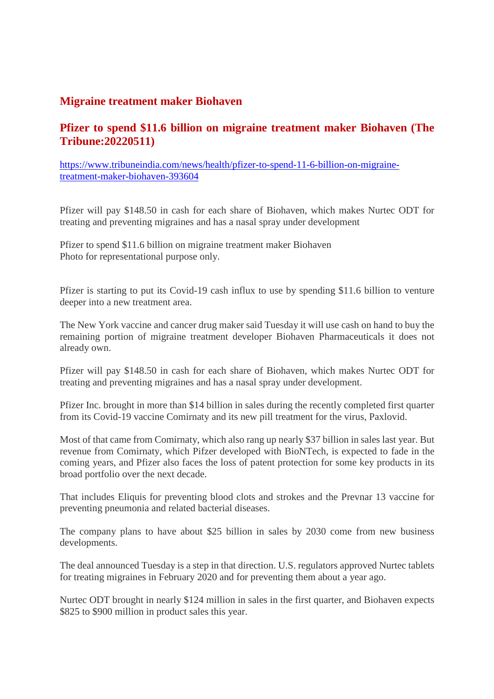#### **Migraine treatment maker Biohaven**

# **Pfizer to spend \$11.6 billion on migraine treatment maker Biohaven (The Tribune:20220511)**

https://www.tribuneindia.com/news/health/pfizer-to-spend-11-6-billion-on-migrainetreatment-maker-biohaven-393604

Pfizer will pay \$148.50 in cash for each share of Biohaven, which makes Nurtec ODT for treating and preventing migraines and has a nasal spray under development

Pfizer to spend \$11.6 billion on migraine treatment maker Biohaven Photo for representational purpose only.

Pfizer is starting to put its Covid-19 cash influx to use by spending \$11.6 billion to venture deeper into a new treatment area.

The New York vaccine and cancer drug maker said Tuesday it will use cash on hand to buy the remaining portion of migraine treatment developer Biohaven Pharmaceuticals it does not already own.

Pfizer will pay \$148.50 in cash for each share of Biohaven, which makes Nurtec ODT for treating and preventing migraines and has a nasal spray under development.

Pfizer Inc. brought in more than \$14 billion in sales during the recently completed first quarter from its Covid-19 vaccine Comirnaty and its new pill treatment for the virus, Paxlovid.

Most of that came from Comirnaty, which also rang up nearly \$37 billion in sales last year. But revenue from Comirnaty, which Pifzer developed with BioNTech, is expected to fade in the coming years, and Pfizer also faces the loss of patent protection for some key products in its broad portfolio over the next decade.

That includes Eliquis for preventing blood clots and strokes and the Prevnar 13 vaccine for preventing pneumonia and related bacterial diseases.

The company plans to have about \$25 billion in sales by 2030 come from new business developments.

The deal announced Tuesday is a step in that direction. U.S. regulators approved Nurtec tablets for treating migraines in February 2020 and for preventing them about a year ago.

Nurtec ODT brought in nearly \$124 million in sales in the first quarter, and Biohaven expects \$825 to \$900 million in product sales this year.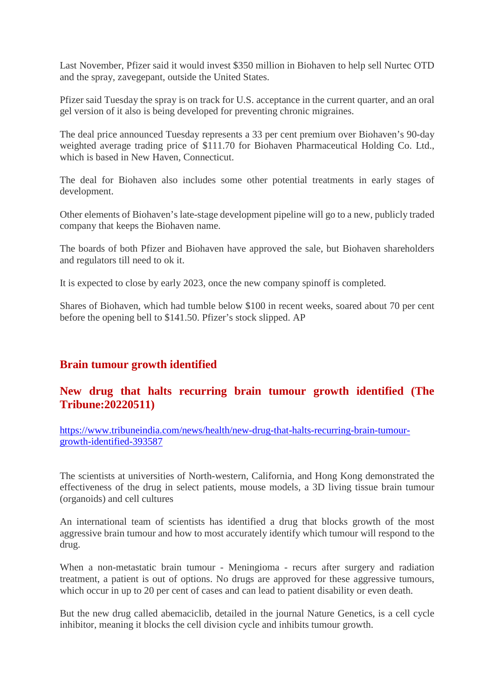Last November, Pfizer said it would invest \$350 million in Biohaven to help sell Nurtec OTD and the spray, zavegepant, outside the United States.

Pfizer said Tuesday the spray is on track for U.S. acceptance in the current quarter, and an oral gel version of it also is being developed for preventing chronic migraines.

The deal price announced Tuesday represents a 33 per cent premium over Biohaven's 90-day weighted average trading price of \$111.70 for Biohaven Pharmaceutical Holding Co. Ltd., which is based in New Haven, Connecticut.

The deal for Biohaven also includes some other potential treatments in early stages of development.

Other elements of Biohaven's late-stage development pipeline will go to a new, publicly traded company that keeps the Biohaven name.

The boards of both Pfizer and Biohaven have approved the sale, but Biohaven shareholders and regulators till need to ok it.

It is expected to close by early 2023, once the new company spinoff is completed.

Shares of Biohaven, which had tumble below \$100 in recent weeks, soared about 70 per cent before the opening bell to \$141.50. Pfizer's stock slipped. AP

# **Brain tumour growth identified**

#### **New drug that halts recurring brain tumour growth identified (The Tribune:20220511)**

https://www.tribuneindia.com/news/health/new-drug-that-halts-recurring-brain-tumourgrowth-identified-393587

The scientists at universities of North-western, California, and Hong Kong demonstrated the effectiveness of the drug in select patients, mouse models, a 3D living tissue brain tumour (organoids) and cell cultures

An international team of scientists has identified a drug that blocks growth of the most aggressive brain tumour and how to most accurately identify which tumour will respond to the drug.

When a non-metastatic brain tumour - Meningioma - recurs after surgery and radiation treatment, a patient is out of options. No drugs are approved for these aggressive tumours, which occur in up to 20 per cent of cases and can lead to patient disability or even death.

But the new drug called abemaciclib, detailed in the journal Nature Genetics, is a cell cycle inhibitor, meaning it blocks the cell division cycle and inhibits tumour growth.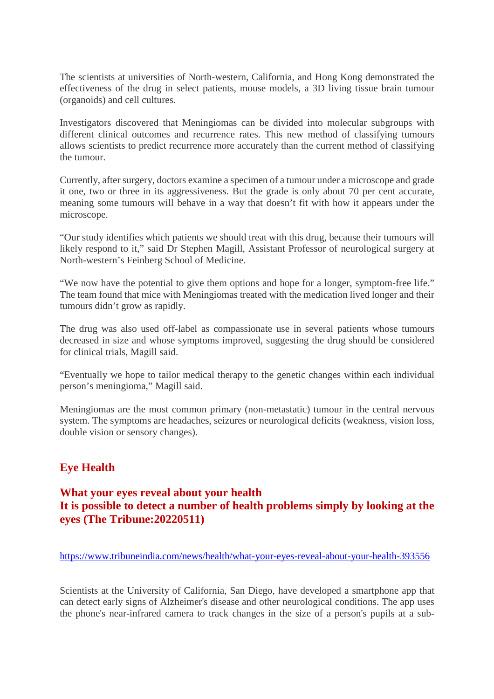The scientists at universities of North-western, California, and Hong Kong demonstrated the effectiveness of the drug in select patients, mouse models, a 3D living tissue brain tumour (organoids) and cell cultures.

Investigators discovered that Meningiomas can be divided into molecular subgroups with different clinical outcomes and recurrence rates. This new method of classifying tumours allows scientists to predict recurrence more accurately than the current method of classifying the tumour.

Currently, after surgery, doctors examine a specimen of a tumour under a microscope and grade it one, two or three in its aggressiveness. But the grade is only about 70 per cent accurate, meaning some tumours will behave in a way that doesn't fit with how it appears under the microscope.

"Our study identifies which patients we should treat with this drug, because their tumours will likely respond to it," said Dr Stephen Magill, Assistant Professor of neurological surgery at North-western's Feinberg School of Medicine.

"We now have the potential to give them options and hope for a longer, symptom-free life." The team found that mice with Meningiomas treated with the medication lived longer and their tumours didn't grow as rapidly.

The drug was also used off-label as compassionate use in several patients whose tumours decreased in size and whose symptoms improved, suggesting the drug should be considered for clinical trials, Magill said.

"Eventually we hope to tailor medical therapy to the genetic changes within each individual person's meningioma," Magill said.

Meningiomas are the most common primary (non-metastatic) tumour in the central nervous system. The symptoms are headaches, seizures or neurological deficits (weakness, vision loss, double vision or sensory changes).

# **Eye Health**

# **What your eyes reveal about your health It is possible to detect a number of health problems simply by looking at the eyes (The Tribune:20220511)**

https://www.tribuneindia.com/news/health/what-your-eyes-reveal-about-your-health-393556

Scientists at the University of California, San Diego, have developed a smartphone app that can detect early signs of Alzheimer's disease and other neurological conditions. The app uses the phone's near-infrared camera to track changes in the size of a person's pupils at a sub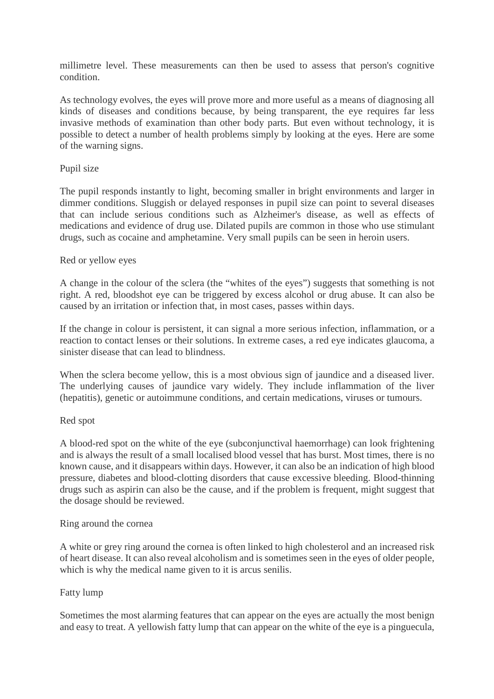millimetre level. These measurements can then be used to assess that person's cognitive condition.

As technology evolves, the eyes will prove more and more useful as a means of diagnosing all kinds of diseases and conditions because, by being transparent, the eye requires far less invasive methods of examination than other body parts. But even without technology, it is possible to detect a number of health problems simply by looking at the eyes. Here are some of the warning signs.

#### Pupil size

The pupil responds instantly to light, becoming smaller in bright environments and larger in dimmer conditions. Sluggish or delayed responses in pupil size can point to several diseases that can include serious conditions such as Alzheimer's disease, as well as effects of medications and evidence of drug use. Dilated pupils are common in those who use stimulant drugs, such as cocaine and amphetamine. Very small pupils can be seen in heroin users.

#### Red or yellow eyes

A change in the colour of the sclera (the "whites of the eyes") suggests that something is not right. A red, bloodshot eye can be triggered by excess alcohol or drug abuse. It can also be caused by an irritation or infection that, in most cases, passes within days.

If the change in colour is persistent, it can signal a more serious infection, inflammation, or a reaction to contact lenses or their solutions. In extreme cases, a red eye indicates glaucoma, a sinister disease that can lead to blindness.

When the sclera become yellow, this is a most obvious sign of jaundice and a diseased liver. The underlying causes of jaundice vary widely. They include inflammation of the liver (hepatitis), genetic or autoimmune conditions, and certain medications, viruses or tumours.

#### Red spot

A blood-red spot on the white of the eye (subconjunctival haemorrhage) can look frightening and is always the result of a small localised blood vessel that has burst. Most times, there is no known cause, and it disappears within days. However, it can also be an indication of high blood pressure, diabetes and blood-clotting disorders that cause excessive bleeding. Blood-thinning drugs such as aspirin can also be the cause, and if the problem is frequent, might suggest that the dosage should be reviewed.

#### Ring around the cornea

A white or grey ring around the cornea is often linked to high cholesterol and an increased risk of heart disease. It can also reveal alcoholism and is sometimes seen in the eyes of older people, which is why the medical name given to it is arcus senilis.

#### Fatty lump

Sometimes the most alarming features that can appear on the eyes are actually the most benign and easy to treat. A yellowish fatty lump that can appear on the white of the eye is a pinguecula,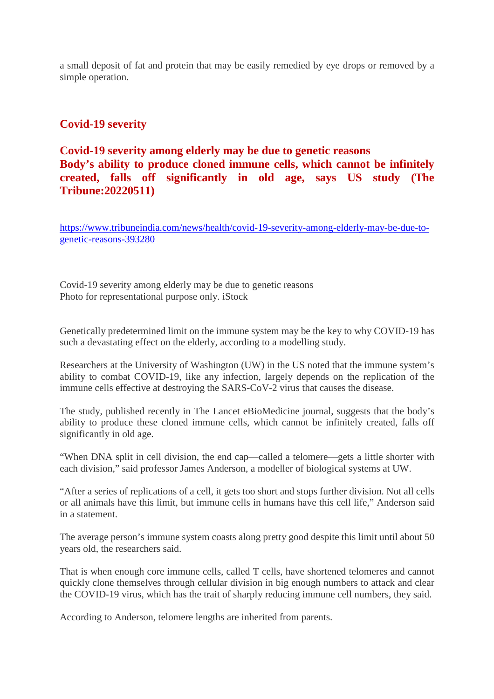a small deposit of fat and protein that may be easily remedied by eye drops or removed by a simple operation.

### **Covid-19 severity**

# **Covid-19 severity among elderly may be due to genetic reasons Body's ability to produce cloned immune cells, which cannot be infinitely created, falls off significantly in old age, says US study (The Tribune:20220511)**

https://www.tribuneindia.com/news/health/covid-19-severity-among-elderly-may-be-due-togenetic-reasons-393280

Covid-19 severity among elderly may be due to genetic reasons Photo for representational purpose only. iStock

Genetically predetermined limit on the immune system may be the key to why COVID-19 has such a devastating effect on the elderly, according to a modelling study.

Researchers at the University of Washington (UW) in the US noted that the immune system's ability to combat COVID-19, like any infection, largely depends on the replication of the immune cells effective at destroying the SARS-CoV-2 virus that causes the disease.

The study, published recently in The Lancet eBioMedicine journal, suggests that the body's ability to produce these cloned immune cells, which cannot be infinitely created, falls off significantly in old age.

"When DNA split in cell division, the end cap—called a telomere—gets a little shorter with each division," said professor James Anderson, a modeller of biological systems at UW.

"After a series of replications of a cell, it gets too short and stops further division. Not all cells or all animals have this limit, but immune cells in humans have this cell life," Anderson said in a statement.

The average person's immune system coasts along pretty good despite this limit until about 50 years old, the researchers said.

That is when enough core immune cells, called T cells, have shortened telomeres and cannot quickly clone themselves through cellular division in big enough numbers to attack and clear the COVID-19 virus, which has the trait of sharply reducing immune cell numbers, they said.

According to Anderson, telomere lengths are inherited from parents.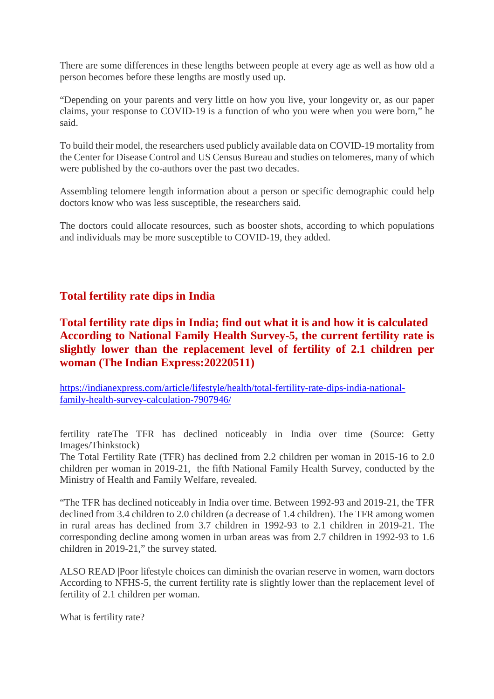There are some differences in these lengths between people at every age as well as how old a person becomes before these lengths are mostly used up.

"Depending on your parents and very little on how you live, your longevity or, as our paper claims, your response to COVID-19 is a function of who you were when you were born," he said.

To build their model, the researchers used publicly available data on COVID-19 mortality from the Center for Disease Control and US Census Bureau and studies on telomeres, many of which were published by the co-authors over the past two decades.

Assembling telomere length information about a person or specific demographic could help doctors know who was less susceptible, the researchers said.

The doctors could allocate resources, such as booster shots, according to which populations and individuals may be more susceptible to COVID-19, they added.

#### **Total fertility rate dips in India**

# **Total fertility rate dips in India; find out what it is and how it is calculated According to National Family Health Survey-5, the current fertility rate is slightly lower than the replacement level of fertility of 2.1 children per woman (The Indian Express:20220511)**

https://indianexpress.com/article/lifestyle/health/total-fertility-rate-dips-india-nationalfamily-health-survey-calculation-7907946/

fertility rateThe TFR has declined noticeably in India over time (Source: Getty Images/Thinkstock)

The Total Fertility Rate (TFR) has declined from 2.2 children per woman in 2015-16 to 2.0 children per woman in 2019-21, the fifth National Family Health Survey, conducted by the Ministry of Health and Family Welfare, revealed.

"The TFR has declined noticeably in India over time. Between 1992-93 and 2019-21, the TFR declined from 3.4 children to 2.0 children (a decrease of 1.4 children). The TFR among women in rural areas has declined from 3.7 children in 1992-93 to 2.1 children in 2019-21. The corresponding decline among women in urban areas was from 2.7 children in 1992-93 to 1.6 children in 2019-21," the survey stated.

ALSO READ |Poor lifestyle choices can diminish the ovarian reserve in women, warn doctors According to NFHS-5, the current fertility rate is slightly lower than the replacement level of fertility of 2.1 children per woman.

What is fertility rate?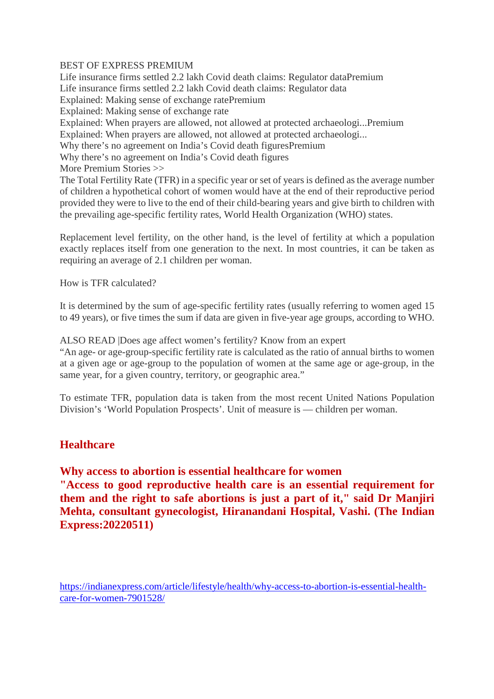#### BEST OF EXPRESS PREMIUM

Life insurance firms settled 2.2 lakh Covid death claims: Regulator dataPremium Life insurance firms settled 2.2 lakh Covid death claims: Regulator data Explained: Making sense of exchange ratePremium Explained: Making sense of exchange rate Explained: When prayers are allowed, not allowed at protected archaeologi...Premium Explained: When prayers are allowed, not allowed at protected archaeologi... Why there's no agreement on India's Covid death figuresPremium Why there's no agreement on India's Covid death figures More Premium Stories >> The Total Fertility Rate (TFR) in a specific year or set of years is defined as the average number of children a hypothetical cohort of women would have at the end of their reproductive period provided they were to live to the end of their child-bearing years and give birth to children with

the prevailing age-specific fertility rates, World Health Organization (WHO) states.

Replacement level fertility, on the other hand, is the level of fertility at which a population exactly replaces itself from one generation to the next. In most countries, it can be taken as requiring an average of 2.1 children per woman.

How is TFR calculated?

It is determined by the sum of age-specific fertility rates (usually referring to women aged 15 to 49 years), or five times the sum if data are given in five-year age groups, according to WHO.

ALSO READ |Does age affect women's fertility? Know from an expert

"An age- or age-group-specific fertility rate is calculated as the ratio of annual births to women at a given age or age-group to the population of women at the same age or age-group, in the same year, for a given country, territory, or geographic area."

To estimate TFR, population data is taken from the most recent United Nations Population Division's 'World Population Prospects'. Unit of measure is — children per woman.

#### **Healthcare**

**Why access to abortion is essential healthcare for women**

**"Access to good reproductive health care is an essential requirement for them and the right to safe abortions is just a part of it," said Dr Manjiri Mehta, consultant gynecologist, Hiranandani Hospital, Vashi. (The Indian Express:20220511)**

https://indianexpress.com/article/lifestyle/health/why-access-to-abortion-is-essential-healthcare-for-women-7901528/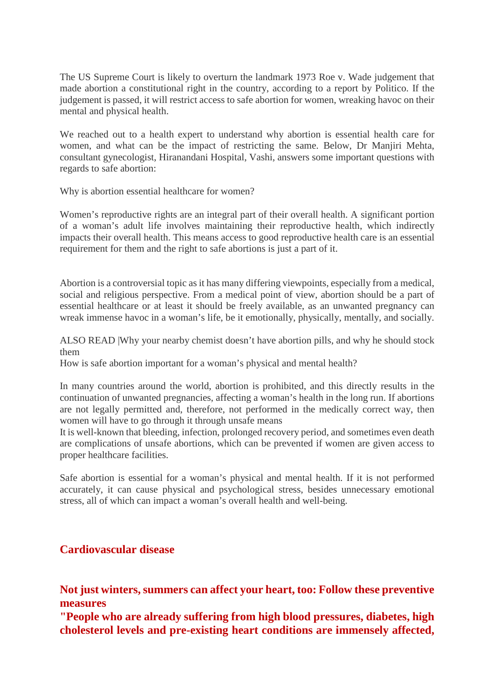The US Supreme Court is likely to overturn the landmark 1973 Roe v. Wade judgement that made abortion a constitutional right in the country, according to a report by Politico. If the judgement is passed, it will restrict access to safe abortion for women, wreaking havoc on their mental and physical health.

We reached out to a health expert to understand why abortion is essential health care for women, and what can be the impact of restricting the same. Below, Dr Manjiri Mehta, consultant gynecologist, Hiranandani Hospital, Vashi, answers some important questions with regards to safe abortion:

Why is abortion essential healthcare for women?

Women's reproductive rights are an integral part of their overall health. A significant portion of a woman's adult life involves maintaining their reproductive health, which indirectly impacts their overall health. This means access to good reproductive health care is an essential requirement for them and the right to safe abortions is just a part of it.

Abortion is a controversial topic as it has many differing viewpoints, especially from a medical, social and religious perspective. From a medical point of view, abortion should be a part of essential healthcare or at least it should be freely available, as an unwanted pregnancy can wreak immense havoc in a woman's life, be it emotionally, physically, mentally, and socially.

ALSO READ |Why your nearby chemist doesn't have abortion pills, and why he should stock them

How is safe abortion important for a woman's physical and mental health?

In many countries around the world, abortion is prohibited, and this directly results in the continuation of unwanted pregnancies, affecting a woman's health in the long run. If abortions are not legally permitted and, therefore, not performed in the medically correct way, then women will have to go through it through unsafe means

It is well-known that bleeding, infection, prolonged recovery period, and sometimes even death are complications of unsafe abortions, which can be prevented if women are given access to proper healthcare facilities.

Safe abortion is essential for a woman's physical and mental health. If it is not performed accurately, it can cause physical and psychological stress, besides unnecessary emotional stress, all of which can impact a woman's overall health and well-being.

# **Cardiovascular disease**

**Not just winters, summers can affect your heart, too: Follow these preventive measures**

**"People who are already suffering from high blood pressures, diabetes, high cholesterol levels and pre-existing heart conditions are immensely affected,**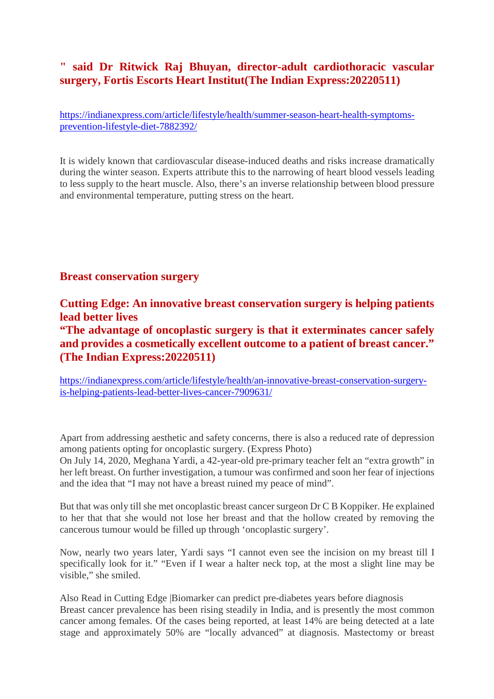# **" said Dr Ritwick Raj Bhuyan, director-adult cardiothoracic vascular surgery, Fortis Escorts Heart Institut(The Indian Express:20220511)**

https://indianexpress.com/article/lifestyle/health/summer-season-heart-health-symptomsprevention-lifestyle-diet-7882392/

It is widely known that cardiovascular disease-induced deaths and risks increase dramatically during the winter season. Experts attribute this to the narrowing of heart blood vessels leading to less supply to the heart muscle. Also, there's an inverse relationship between blood pressure and environmental temperature, putting stress on the heart.

#### **Breast conservation surgery**

**Cutting Edge: An innovative breast conservation surgery is helping patients lead better lives**

**"The advantage of oncoplastic surgery is that it exterminates cancer safely and provides a cosmetically excellent outcome to a patient of breast cancer." (The Indian Express:20220511)**

https://indianexpress.com/article/lifestyle/health/an-innovative-breast-conservation-surgeryis-helping-patients-lead-better-lives-cancer-7909631/

Apart from addressing aesthetic and safety concerns, there is also a reduced rate of depression among patients opting for oncoplastic surgery. (Express Photo)

On July 14, 2020, Meghana Yardi, a 42-year-old pre-primary teacher felt an "extra growth" in her left breast. On further investigation, a tumour was confirmed and soon her fear of injections and the idea that "I may not have a breast ruined my peace of mind".

But that was only till she met oncoplastic breast cancer surgeon Dr C B Koppiker. He explained to her that that she would not lose her breast and that the hollow created by removing the cancerous tumour would be filled up through 'oncoplastic surgery'.

Now, nearly two years later, Yardi says "I cannot even see the incision on my breast till I specifically look for it." "Even if I wear a halter neck top, at the most a slight line may be visible," she smiled.

Also Read in Cutting Edge |Biomarker can predict pre-diabetes years before diagnosis Breast cancer prevalence has been rising steadily in India, and is presently the most common cancer among females. Of the cases being reported, at least 14% are being detected at a late stage and approximately 50% are "locally advanced" at diagnosis. Mastectomy or breast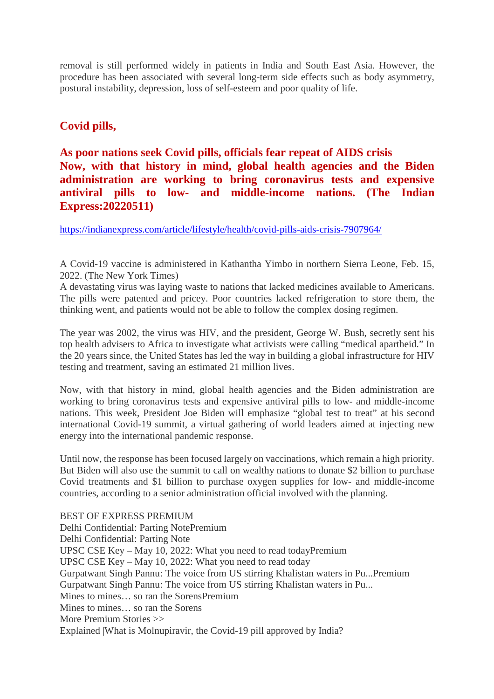removal is still performed widely in patients in India and South East Asia. However, the procedure has been associated with several long-term side effects such as body asymmetry, postural instability, depression, loss of self-esteem and poor quality of life.

# **Covid pills,**

# **As poor nations seek Covid pills, officials fear repeat of AIDS crisis Now, with that history in mind, global health agencies and the Biden administration are working to bring coronavirus tests and expensive antiviral pills to low- and middle-income nations. (The Indian Express:20220511)**

https://indianexpress.com/article/lifestyle/health/covid-pills-aids-crisis-7907964/

A Covid-19 vaccine is administered in Kathantha Yimbo in northern Sierra Leone, Feb. 15, 2022. (The New York Times)

A devastating virus was laying waste to nations that lacked medicines available to Americans. The pills were patented and pricey. Poor countries lacked refrigeration to store them, the thinking went, and patients would not be able to follow the complex dosing regimen.

The year was 2002, the virus was HIV, and the president, George W. Bush, secretly sent his top health advisers to Africa to investigate what activists were calling "medical apartheid." In the 20 years since, the United States has led the way in building a global infrastructure for HIV testing and treatment, saving an estimated 21 million lives.

Now, with that history in mind, global health agencies and the Biden administration are working to bring coronavirus tests and expensive antiviral pills to low- and middle-income nations. This week, President Joe Biden will emphasize "global test to treat" at his second international Covid-19 summit, a virtual gathering of world leaders aimed at injecting new energy into the international pandemic response.

Until now, the response has been focused largely on vaccinations, which remain a high priority. But Biden will also use the summit to call on wealthy nations to donate \$2 billion to purchase Covid treatments and \$1 billion to purchase oxygen supplies for low- and middle-income countries, according to a senior administration official involved with the planning.

BEST OF EXPRESS PREMIUM Delhi Confidential: Parting NotePremium Delhi Confidential: Parting Note UPSC CSE Key – May 10, 2022: What you need to read todayPremium UPSC CSE Key – May 10, 2022: What you need to read today Gurpatwant Singh Pannu: The voice from US stirring Khalistan waters in Pu...Premium Gurpatwant Singh Pannu: The voice from US stirring Khalistan waters in Pu... Mines to mines… so ran the SorensPremium Mines to mines… so ran the Sorens More Premium Stories >> Explained |What is Molnupiravir, the Covid-19 pill approved by India?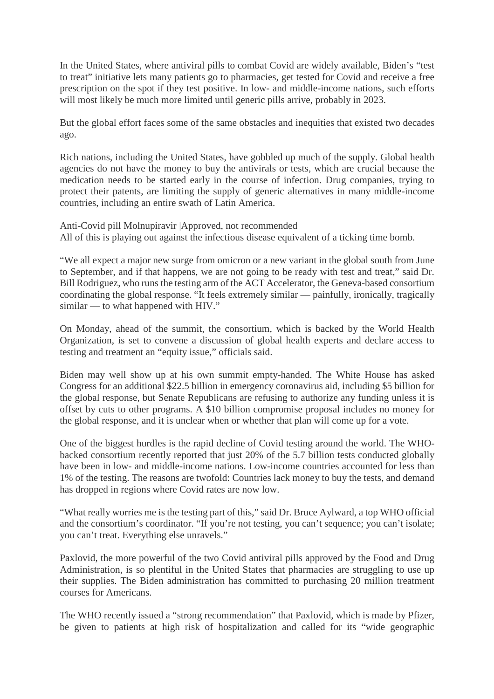In the United States, where antiviral pills to combat Covid are widely available, Biden's "test to treat" initiative lets many patients go to pharmacies, get tested for Covid and receive a free prescription on the spot if they test positive. In low- and middle-income nations, such efforts will most likely be much more limited until generic pills arrive, probably in 2023.

But the global effort faces some of the same obstacles and inequities that existed two decades ago.

Rich nations, including the United States, have gobbled up much of the supply. Global health agencies do not have the money to buy the antivirals or tests, which are crucial because the medication needs to be started early in the course of infection. Drug companies, trying to protect their patents, are limiting the supply of generic alternatives in many middle-income countries, including an entire swath of Latin America.

Anti-Covid pill Molnupiravir |Approved, not recommended All of this is playing out against the infectious disease equivalent of a ticking time bomb.

"We all expect a major new surge from omicron or a new variant in the global south from June to September, and if that happens, we are not going to be ready with test and treat," said Dr. Bill Rodriguez, who runs the testing arm of the ACT Accelerator, the Geneva-based consortium coordinating the global response. "It feels extremely similar — painfully, ironically, tragically similar — to what happened with HIV."

On Monday, ahead of the summit, the consortium, which is backed by the World Health Organization, is set to convene a discussion of global health experts and declare access to testing and treatment an "equity issue," officials said.

Biden may well show up at his own summit empty-handed. The White House has asked Congress for an additional \$22.5 billion in emergency coronavirus aid, including \$5 billion for the global response, but Senate Republicans are refusing to authorize any funding unless it is offset by cuts to other programs. A \$10 billion compromise proposal includes no money for the global response, and it is unclear when or whether that plan will come up for a vote.

One of the biggest hurdles is the rapid decline of Covid testing around the world. The WHObacked consortium recently reported that just 20% of the 5.7 billion tests conducted globally have been in low- and middle-income nations. Low-income countries accounted for less than 1% of the testing. The reasons are twofold: Countries lack money to buy the tests, and demand has dropped in regions where Covid rates are now low.

"What really worries me is the testing part of this," said Dr. Bruce Aylward, a top WHO official and the consortium's coordinator. "If you're not testing, you can't sequence; you can't isolate; you can't treat. Everything else unravels."

Paxlovid, the more powerful of the two Covid antiviral pills approved by the Food and Drug Administration, is so plentiful in the United States that pharmacies are struggling to use up their supplies. The Biden administration has committed to purchasing 20 million treatment courses for Americans.

The WHO recently issued a "strong recommendation" that Paxlovid, which is made by Pfizer, be given to patients at high risk of hospitalization and called for its "wide geographic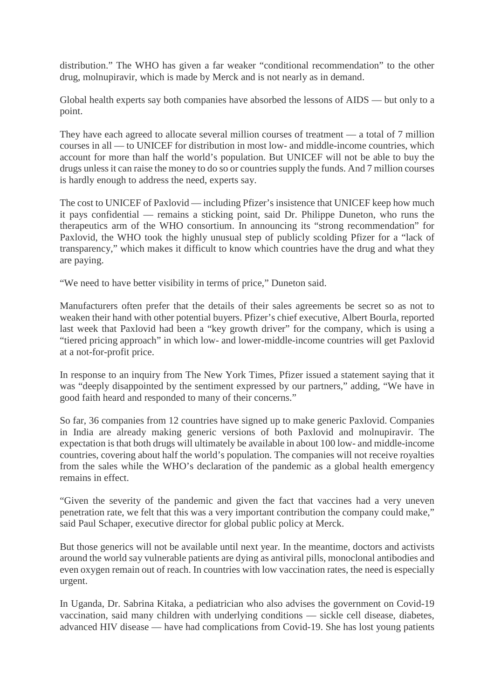distribution." The WHO has given a far weaker "conditional recommendation" to the other drug, molnupiravir, which is made by Merck and is not nearly as in demand.

Global health experts say both companies have absorbed the lessons of AIDS — but only to a point.

They have each agreed to allocate several million courses of treatment — a total of 7 million courses in all — to UNICEF for distribution in most low- and middle-income countries, which account for more than half the world's population. But UNICEF will not be able to buy the drugs unless it can raise the money to do so or countries supply the funds. And 7 million courses is hardly enough to address the need, experts say.

The cost to UNICEF of Paxlovid — including Pfizer's insistence that UNICEF keep how much it pays confidential — remains a sticking point, said Dr. Philippe Duneton, who runs the therapeutics arm of the WHO consortium. In announcing its "strong recommendation" for Paxlovid, the WHO took the highly unusual step of publicly scolding Pfizer for a "lack of transparency," which makes it difficult to know which countries have the drug and what they are paying.

"We need to have better visibility in terms of price," Duneton said.

Manufacturers often prefer that the details of their sales agreements be secret so as not to weaken their hand with other potential buyers. Pfizer's chief executive, Albert Bourla, reported last week that Paxlovid had been a "key growth driver" for the company, which is using a "tiered pricing approach" in which low- and lower-middle-income countries will get Paxlovid at a not-for-profit price.

In response to an inquiry from The New York Times, Pfizer issued a statement saying that it was "deeply disappointed by the sentiment expressed by our partners," adding, "We have in good faith heard and responded to many of their concerns."

So far, 36 companies from 12 countries have signed up to make generic Paxlovid. Companies in India are already making generic versions of both Paxlovid and molnupiravir. The expectation is that both drugs will ultimately be available in about 100 low- and middle-income countries, covering about half the world's population. The companies will not receive royalties from the sales while the WHO's declaration of the pandemic as a global health emergency remains in effect.

"Given the severity of the pandemic and given the fact that vaccines had a very uneven penetration rate, we felt that this was a very important contribution the company could make," said Paul Schaper, executive director for global public policy at Merck.

But those generics will not be available until next year. In the meantime, doctors and activists around the world say vulnerable patients are dying as antiviral pills, monoclonal antibodies and even oxygen remain out of reach. In countries with low vaccination rates, the need is especially urgent.

In Uganda, Dr. Sabrina Kitaka, a pediatrician who also advises the government on Covid-19 vaccination, said many children with underlying conditions — sickle cell disease, diabetes, advanced HIV disease — have had complications from Covid-19. She has lost young patients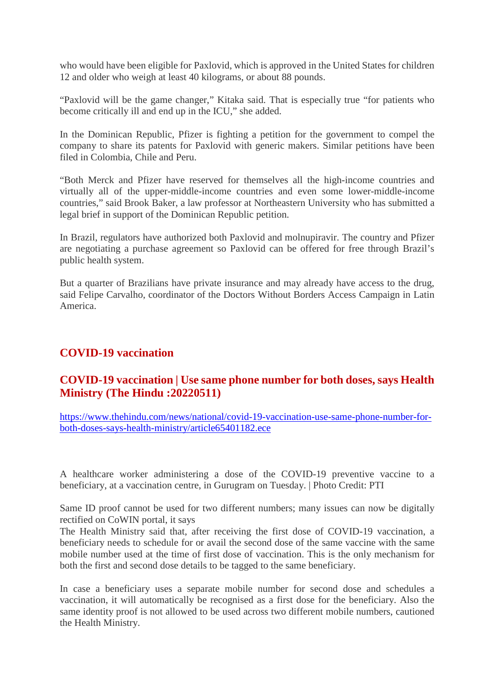who would have been eligible for Paxlovid, which is approved in the United States for children 12 and older who weigh at least 40 kilograms, or about 88 pounds.

"Paxlovid will be the game changer," Kitaka said. That is especially true "for patients who become critically ill and end up in the ICU," she added.

In the Dominican Republic, Pfizer is fighting a petition for the government to compel the company to share its patents for Paxlovid with generic makers. Similar petitions have been filed in Colombia, Chile and Peru.

"Both Merck and Pfizer have reserved for themselves all the high-income countries and virtually all of the upper-middle-income countries and even some lower-middle-income countries," said Brook Baker, a law professor at Northeastern University who has submitted a legal brief in support of the Dominican Republic petition.

In Brazil, regulators have authorized both Paxlovid and molnupiravir. The country and Pfizer are negotiating a purchase agreement so Paxlovid can be offered for free through Brazil's public health system.

But a quarter of Brazilians have private insurance and may already have access to the drug, said Felipe Carvalho, coordinator of the Doctors Without Borders Access Campaign in Latin America.

# **COVID-19 vaccination**

# **COVID-19 vaccination | Use same phone number for both doses, says Health Ministry (The Hindu :20220511)**

https://www.thehindu.com/news/national/covid-19-vaccination-use-same-phone-number-forboth-doses-says-health-ministry/article65401182.ece

A healthcare worker administering a dose of the COVID-19 preventive vaccine to a beneficiary, at a vaccination centre, in Gurugram on Tuesday. | Photo Credit: PTI

Same ID proof cannot be used for two different numbers; many issues can now be digitally rectified on CoWIN portal, it says

The Health Ministry said that, after receiving the first dose of COVID-19 vaccination, a beneficiary needs to schedule for or avail the second dose of the same vaccine with the same mobile number used at the time of first dose of vaccination. This is the only mechanism for both the first and second dose details to be tagged to the same beneficiary.

In case a beneficiary uses a separate mobile number for second dose and schedules a vaccination, it will automatically be recognised as a first dose for the beneficiary. Also the same identity proof is not allowed to be used across two different mobile numbers, cautioned the Health Ministry.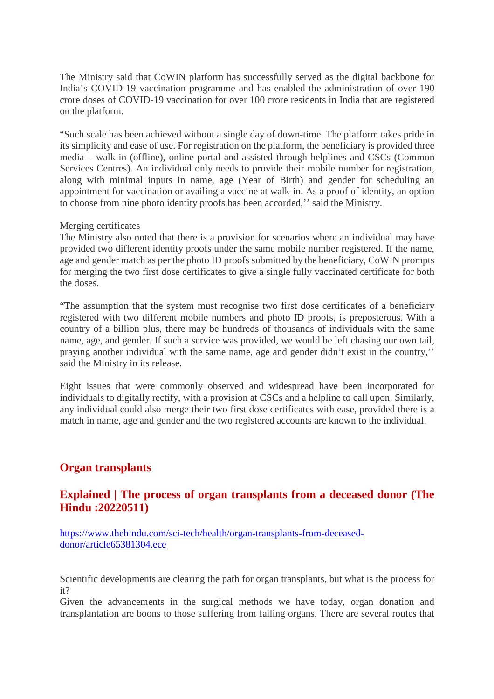The Ministry said that CoWIN platform has successfully served as the digital backbone for India's COVID-19 vaccination programme and has enabled the administration of over 190 crore doses of COVID-19 vaccination for over 100 crore residents in India that are registered on the platform.

"Such scale has been achieved without a single day of down-time. The platform takes pride in its simplicity and ease of use. For registration on the platform, the beneficiary is provided three media – walk-in (offline), online portal and assisted through helplines and CSCs (Common Services Centres). An individual only needs to provide their mobile number for registration, along with minimal inputs in name, age (Year of Birth) and gender for scheduling an appointment for vaccination or availing a vaccine at walk-in. As a proof of identity, an option to choose from nine photo identity proofs has been accorded,'' said the Ministry.

#### Merging certificates

The Ministry also noted that there is a provision for scenarios where an individual may have provided two different identity proofs under the same mobile number registered. If the name, age and gender match as per the photo ID proofs submitted by the beneficiary, CoWIN prompts for merging the two first dose certificates to give a single fully vaccinated certificate for both the doses.

"The assumption that the system must recognise two first dose certificates of a beneficiary registered with two different mobile numbers and photo ID proofs, is preposterous. With a country of a billion plus, there may be hundreds of thousands of individuals with the same name, age, and gender. If such a service was provided, we would be left chasing our own tail, praying another individual with the same name, age and gender didn't exist in the country,'' said the Ministry in its release.

Eight issues that were commonly observed and widespread have been incorporated for individuals to digitally rectify, with a provision at CSCs and a helpline to call upon. Similarly, any individual could also merge their two first dose certificates with ease, provided there is a match in name, age and gender and the two registered accounts are known to the individual.

# **Organ transplants**

# **Explained | The process of organ transplants from a deceased donor (The Hindu :20220511)**

https://www.thehindu.com/sci-tech/health/organ-transplants-from-deceaseddonor/article65381304.ece

Scientific developments are clearing the path for organ transplants, but what is the process for it?

Given the advancements in the surgical methods we have today, organ donation and transplantation are boons to those suffering from failing organs. There are several routes that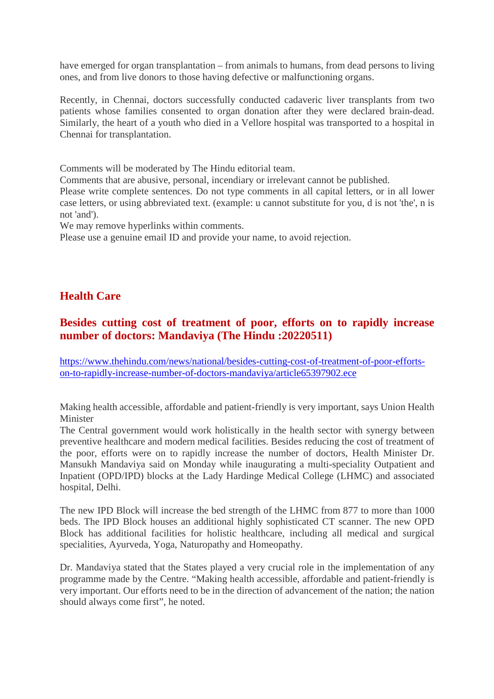have emerged for organ transplantation – from animals to humans, from dead persons to living ones, and from live donors to those having defective or malfunctioning organs.

Recently, in Chennai, doctors successfully conducted cadaveric liver transplants from two patients whose families consented to organ donation after they were declared brain-dead. Similarly, the heart of a youth who died in a Vellore hospital was transported to a hospital in Chennai for transplantation.

Comments will be moderated by The Hindu editorial team.

Comments that are abusive, personal, incendiary or irrelevant cannot be published.

Please write complete sentences. Do not type comments in all capital letters, or in all lower case letters, or using abbreviated text. (example: u cannot substitute for you, d is not 'the', n is not 'and').

We may remove hyperlinks within comments.

Please use a genuine email ID and provide your name, to avoid rejection.

# **Health Care**

# **Besides cutting cost of treatment of poor, efforts on to rapidly increase number of doctors: Mandaviya (The Hindu :20220511)**

https://www.thehindu.com/news/national/besides-cutting-cost-of-treatment-of-poor-effortson-to-rapidly-increase-number-of-doctors-mandaviya/article65397902.ece

Making health accessible, affordable and patient-friendly is very important, says Union Health Minister

The Central government would work holistically in the health sector with synergy between preventive healthcare and modern medical facilities. Besides reducing the cost of treatment of the poor, efforts were on to rapidly increase the number of doctors, Health Minister Dr. Mansukh Mandaviya said on Monday while inaugurating a multi-speciality Outpatient and Inpatient (OPD/IPD) blocks at the Lady Hardinge Medical College (LHMC) and associated hospital, Delhi.

The new IPD Block will increase the bed strength of the LHMC from 877 to more than 1000 beds. The IPD Block houses an additional highly sophisticated CT scanner. The new OPD Block has additional facilities for holistic healthcare, including all medical and surgical specialities, Ayurveda, Yoga, Naturopathy and Homeopathy.

Dr. Mandaviya stated that the States played a very crucial role in the implementation of any programme made by the Centre. "Making health accessible, affordable and patient-friendly is very important. Our efforts need to be in the direction of advancement of the nation; the nation should always come first", he noted.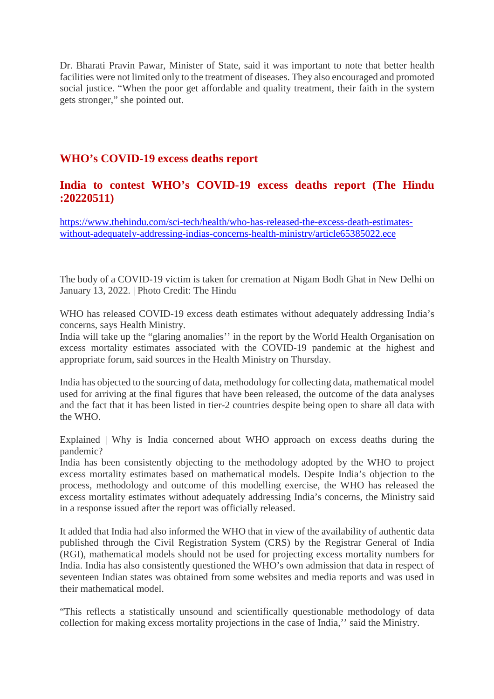Dr. Bharati Pravin Pawar, Minister of State, said it was important to note that better health facilities were not limited only to the treatment of diseases. They also encouraged and promoted social justice. "When the poor get affordable and quality treatment, their faith in the system gets stronger," she pointed out.

### **WHO's COVID-19 excess deaths report**

#### **India to contest WHO's COVID-19 excess deaths report (The Hindu :20220511)**

https://www.thehindu.com/sci-tech/health/who-has-released-the-excess-death-estimateswithout-adequately-addressing-indias-concerns-health-ministry/article65385022.ece

The body of a COVID-19 victim is taken for cremation at Nigam Bodh Ghat in New Delhi on January 13, 2022. | Photo Credit: The Hindu

WHO has released COVID-19 excess death estimates without adequately addressing India's concerns, says Health Ministry.

India will take up the "glaring anomalies'' in the report by the World Health Organisation on excess mortality estimates associated with the COVID-19 pandemic at the highest and appropriate forum, said sources in the Health Ministry on Thursday.

India has objected to the sourcing of data, methodology for collecting data, mathematical model used for arriving at the final figures that have been released, the outcome of the data analyses and the fact that it has been listed in tier-2 countries despite being open to share all data with the WHO.

Explained | Why is India concerned about WHO approach on excess deaths during the pandemic?

India has been consistently objecting to the methodology adopted by the WHO to project excess mortality estimates based on mathematical models. Despite India's objection to the process, methodology and outcome of this modelling exercise, the WHO has released the excess mortality estimates without adequately addressing India's concerns, the Ministry said in a response issued after the report was officially released.

It added that India had also informed the WHO that in view of the availability of authentic data published through the Civil Registration System (CRS) by the Registrar General of India (RGI), mathematical models should not be used for projecting excess mortality numbers for India. India has also consistently questioned the WHO's own admission that data in respect of seventeen Indian states was obtained from some websites and media reports and was used in their mathematical model.

"This reflects a statistically unsound and scientifically questionable methodology of data collection for making excess mortality projections in the case of India,'' said the Ministry.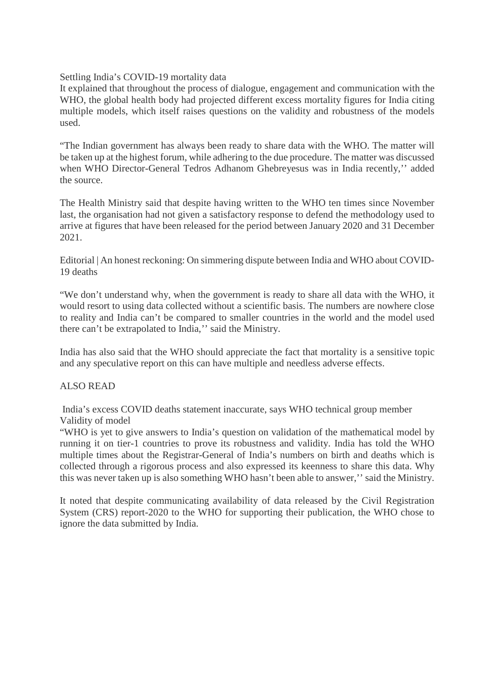Settling India's COVID-19 mortality data

It explained that throughout the process of dialogue, engagement and communication with the WHO, the global health body had projected different excess mortality figures for India citing multiple models, which itself raises questions on the validity and robustness of the models used.

"The Indian government has always been ready to share data with the WHO. The matter will be taken up at the highest forum, while adhering to the due procedure. The matter was discussed when WHO Director-General Tedros Adhanom Ghebreyesus was in India recently,'' added the source.

The Health Ministry said that despite having written to the WHO ten times since November last, the organisation had not given a satisfactory response to defend the methodology used to arrive at figures that have been released for the period between January 2020 and 31 December 2021.

Editorial | An honest reckoning: On simmering dispute between India and WHO about COVID-19 deaths

"We don't understand why, when the government is ready to share all data with the WHO, it would resort to using data collected without a scientific basis. The numbers are nowhere close to reality and India can't be compared to smaller countries in the world and the model used there can't be extrapolated to India,'' said the Ministry.

India has also said that the WHO should appreciate the fact that mortality is a sensitive topic and any speculative report on this can have multiple and needless adverse effects.

#### ALSO READ

India's excess COVID deaths statement inaccurate, says WHO technical group member Validity of model

"WHO is yet to give answers to India's question on validation of the mathematical model by running it on tier-1 countries to prove its robustness and validity. India has told the WHO multiple times about the Registrar-General of India's numbers on birth and deaths which is collected through a rigorous process and also expressed its keenness to share this data. Why this was never taken up is also something WHO hasn't been able to answer,'' said the Ministry.

It noted that despite communicating availability of data released by the Civil Registration System (CRS) report-2020 to the WHO for supporting their publication, the WHO chose to ignore the data submitted by India.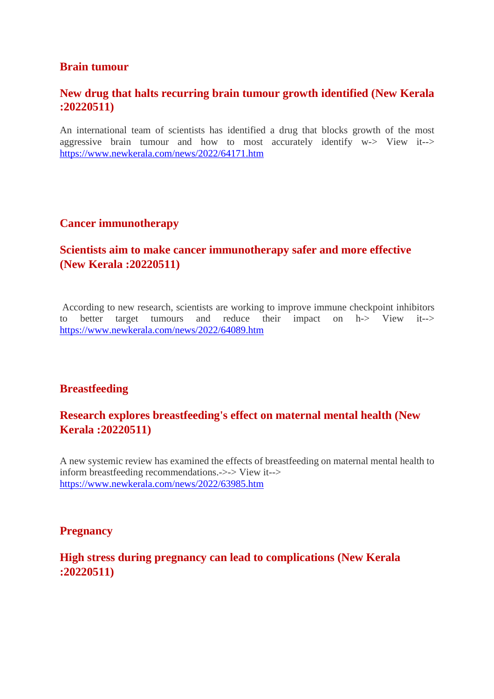#### **Brain tumour**

#### **New drug that halts recurring brain tumour growth identified (New Kerala :20220511)**

An international team of scientists has identified a drug that blocks growth of the most aggressive brain tumour and how to most accurately identify  $w \rightarrow V_i$ it- $>$ https://www.newkerala.com/news/2022/64171.htm

#### **Cancer immunotherapy**

# **Scientists aim to make cancer immunotherapy safer and more effective (New Kerala :20220511)**

According to new research, scientists are working to improve immune checkpoint inhibitors to better target tumours and reduce their impact on h-> View it--> https://www.newkerala.com/news/2022/64089.htm

#### **Breastfeeding**

# **Research explores breastfeeding's effect on maternal mental health (New Kerala :20220511)**

A new systemic review has examined the effects of breastfeeding on maternal mental health to inform breastfeeding recommendations.->-> View it--> https://www.newkerala.com/news/2022/63985.htm

#### **Pregnancy**

#### **High stress during pregnancy can lead to complications (New Kerala :20220511)**